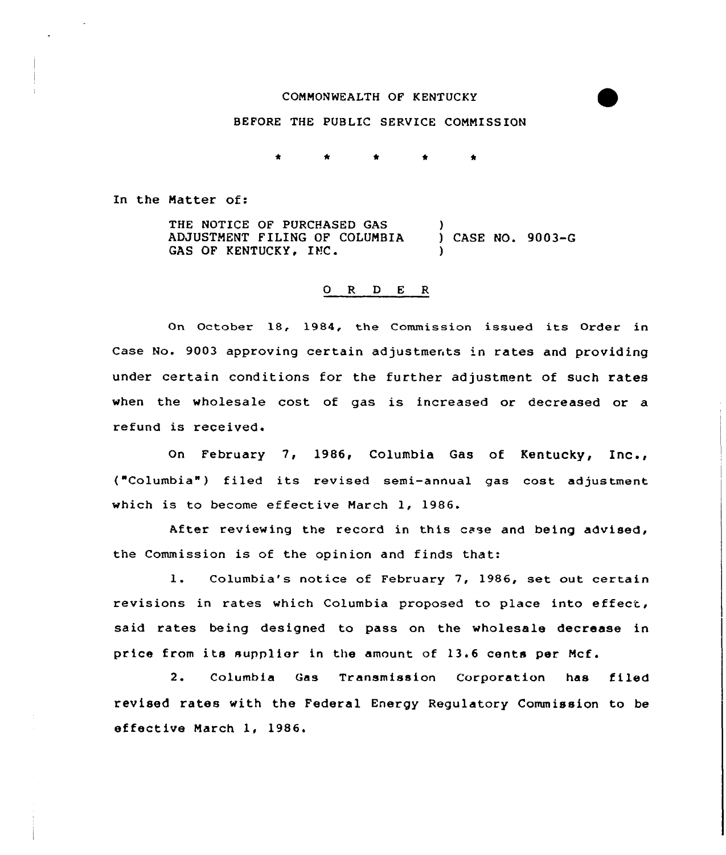#### COMMONWEALTH OF KENTUCKY

# BEFORE THE PUBLIC SERVICE COMMISSION

In the Matter of:

THE NOTICE OF PURCHASED GAS ADJUSTMENT FILING OF COLUMBIA GAS OF KENTUCKY, INC. ) ) CASE NO. 9003-G )

## O R D E R

On October 18, 1984, the Commission issued its Order in Case No. 9003 approving certain adjustments 'n rates and providing under certain conditions for the further adjustment of such rates when the wholesale cost of gas is increased or decreased or a refund is received.

On February 7, 1986, Columbia Gas of Kentucky, Inc., ("Columbia") filed its revised semi-annual gas cost adjustment which is to become effective March 1, 1986.

After reviewing the record in this case and being advised, the Commission is of the opinion and finds that:

1. Columbia's notice of February 7, 1986, set out certain revisions in rates which Columbia proposed to place into effect, said rates being designed to pass on the wholesale decrease in price from its supplier in the amount of 13.6 cents per Mcf.

2. Columbia Gas Transmission Corporation has filed revised rates with the Federal Energy Regulatory Commission to be effective March 1, 1986.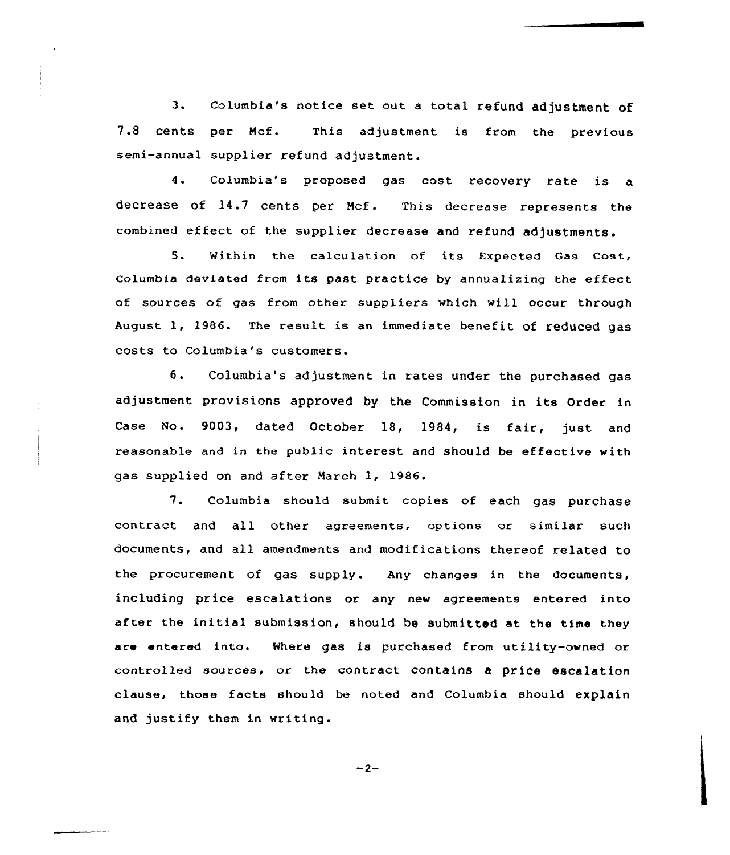columbia's notice set out <sup>a</sup> total refund adjustment of  $3.$ 7.8 cents per Mcf. This adjustment is from the previous semi-annual supplier refund adjustment.

4. Columbia's proposed gas cost recovery rate is <sup>a</sup> decrease of 14.7 cents per Mcf. This decrease represents the combined effect of the supplier decrease and refund adjustments.

5. Within the calculation of its Expected Gas Cost, Columbia deviated from its past practice by annualizing the effect of sources of gas from other suppliers which will occur through August 1, 1986. The result is an immediate benefit of reduced gas costs to Columbia's customers.

6. Columbia's adjustment in rates under the purchased gas adjustment provisions approved by the Commission in its Order in Case No. 9003, dated October 18, 1984, is fair, just and reasonable and in the public interest and should be effective with gas supplied on and after March 1, 1986.

7. Columbia should submit copies of each gas purchase contract and all other agreements, options or similar such documents, and all amendments and modifications thereof related to the procurement of gas supply. Any changes in the documents, including price escalations or any new agreements entered into af ter the initial submission, should be submitted at the time they are entered into. Where gas is purchased from utility-owned or controlled sources, or the contract contains a price escalation clause, those facts should be noted and Columbia should explain and justify them in writing.

 $-2-$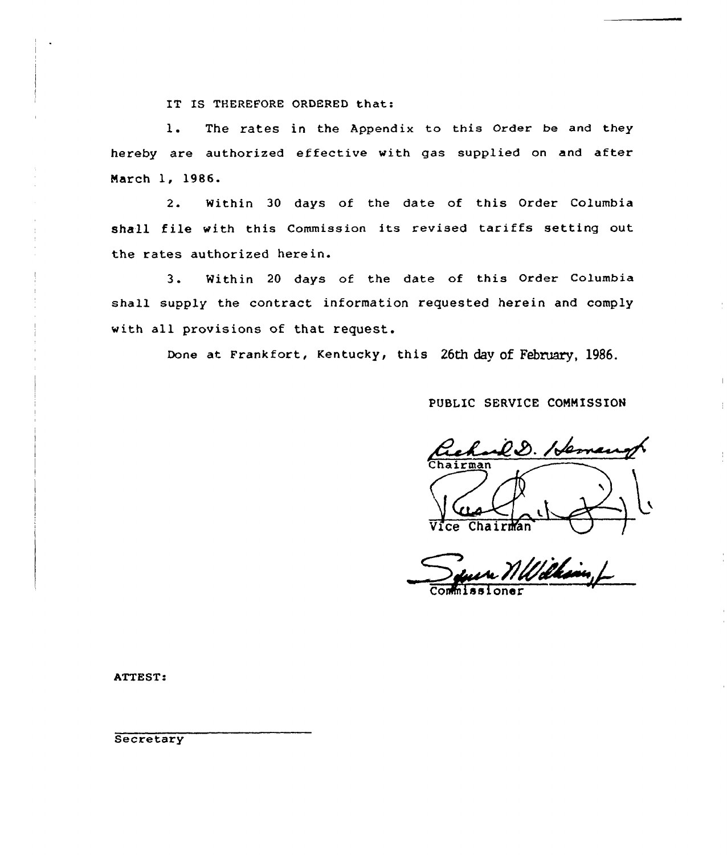IT IS THEREFORE ORDERED that:

1. The rates in the Appendix to this Order be and they hereby are authorized effective with gas supplied on and after Narch 1, 1986.

2. Within 30 days of the date of this Order Columbia shall file with this Commission its revised tariffs setting out the rates authorized herein.

3. Within <sup>20</sup> days of the date of this Order Columbia shall supply the contract information requested herein and comply with all provisions of that request.

Done at Frankfort, Kentucky, this 26th day of February, 1986.

PUBLIC SERVICE COMMISSION

D. Hema Vice Chairman /

Wilkim

Commissioner

ATTEST:

**Secretary**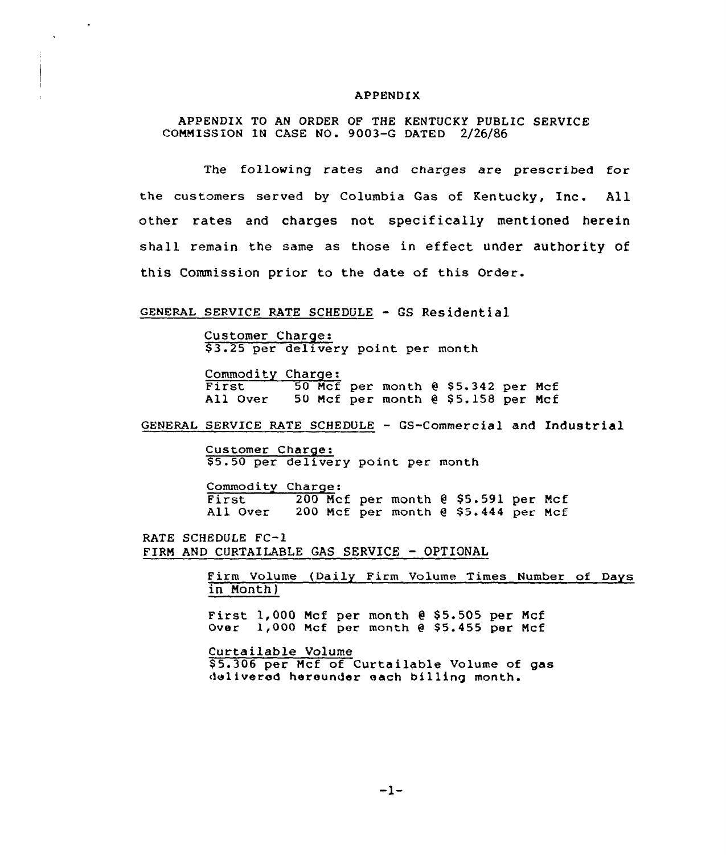#### APPENDIX

APPENDIX TO AN ORDER OF THE KENTUCKY PUBLIC SERVICE COMMISSION IN CASE NO. 9003-G DATED 2/26/86

The following rates and charges are prescribed for the customers served by Columbia Gas of Kentucky, Inc. All other rates and charges not specifically mentioned herein shall remain the same as those in effect under authority of this Commission prior to the date of this Order.

#### GENERAL SERVICE RATE SCHEDULE - GS Residential

 $\Delta$ 

Customer Charge: \$ 3.25 per delivery point per month

Commodity Charge:<br>First 50 Mcf per month @ \$5.342 per Mcf<br>All Over 50 Mcf per month @ \$5.158 per Mcf 50 Mcf per month @ \$5.158 per Mcf

GENERAL SERVICE RATE SCHEDULE — GS-Commercial and Industrial

Customer Charge: \$ 5.50 per delivery point per month

Commodity Charge:<br>First 200 Mc First 200 Mcf per month 0 \$5.591 per Mcf<br>All Over 200 Mcf per month 0 \$5.444 per Mcf 200 Mcf per month  $e$  \$5.444 per Mcf

RATE SCHEDULE FC-l FIRM AND CURTAILABLE GAS SERVICE - OPTIONAL

> Firm Volume (Daily Firm Volume Times Number of Days in Month)

First  $1,000$  Mcf per month  $0$  \$5.505 per Mcf Over 1,000 Mcf per month @ \$5.455 per Mcf

Curtailable Volume

\$5.306 per Mcf of Curtailable Volume of gas delivered hereunder each billing month.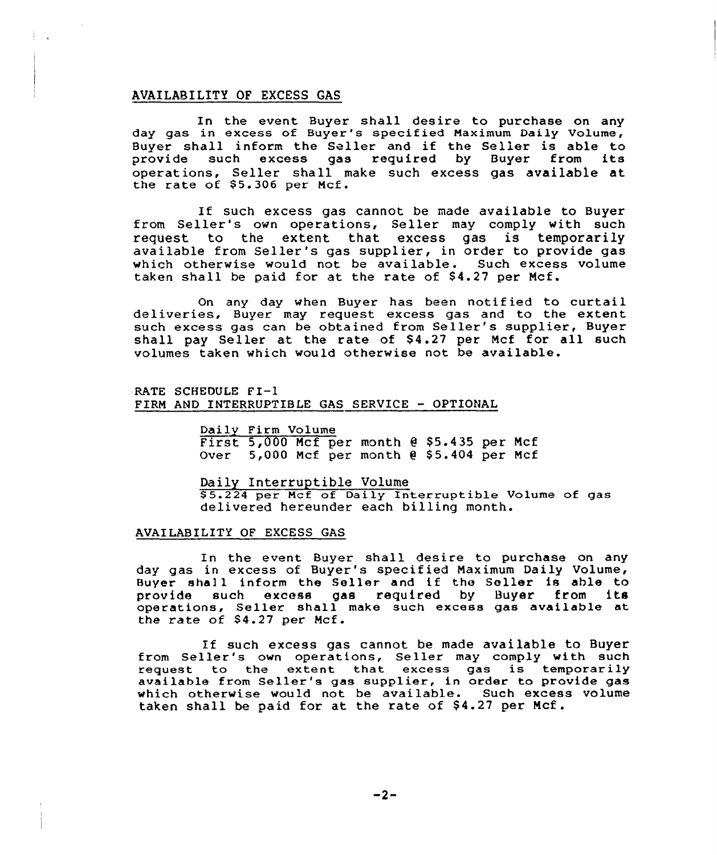# AVAILABILITY OF EXCESS GAS

In the event Buyer shall desire to purchase on any day gas in excess of Buyer's specified Naximum Daily Volume, Buyer shall inform the Seller and if the Seller is able to<br>provide such excess gas required by Buyer from its such excess gas required by Buyer from its operations, Seller shall make such excess gas available at the rate of  $$5.306$  per Mcf.

If such excess gas cannot be made available to Buyer from Seller's own operations, Seller may comply with such request to the extent that excess gas is temporarily available from Seller's gas supplier, in order to provide gas which otherwise would not be available. Such excess volume taken shall be paid for at the rate of \$4.27 per Mcf.

On any day when Buyer has been notified to curtail deliveries, Buyer may request excess gas and to the extent such excess gas can be obtained from Seller's supplier, Buyer shall pay Seller at the rate of  $$4.27$  per Mcf for all such volumes taken which would otherwise not be available.

#### RATE SCHEDULE <sup>F</sup> I-I FIRN AND INTERRUPTIBLE GAS SERVICE — OPTIONAL

Daily Firm Volume First  $5,000$  Mcf per month  $6$  \$5.435 per Mcf Over  $5,000$  Mcf per month  $0.55.404$  per Mcf

Daily Interruptible Volume

5.224 per Ncf of Daily Interruptible Volume of gas delivered hereunder each billing month.

#### AVAILABILITY OF EXCESS GAS

In the event Buyer shall desire to purchase on any day gas in excess of Buyer's specified Naximum Daily Volume, Buyer shall inform the Seller and if the Seller is able to<br>provide such excess gas required by Buyer from its such excess gas required operations, Seller shall make such excess gas available at the rate of \$4.27 per Mcf.

If such excess gas cannot be made available to Buyer It such excess gas cannot be made available to buyer<br>from Seller's own operations, Seller may comply with such rrom serier s own operations, serier may compry with subavailable from Seller's gas supplier, in order to provide gas which otherwise would not be available. Such excess volume taken shall be paid for at the rate of \$4.27 per Mcf.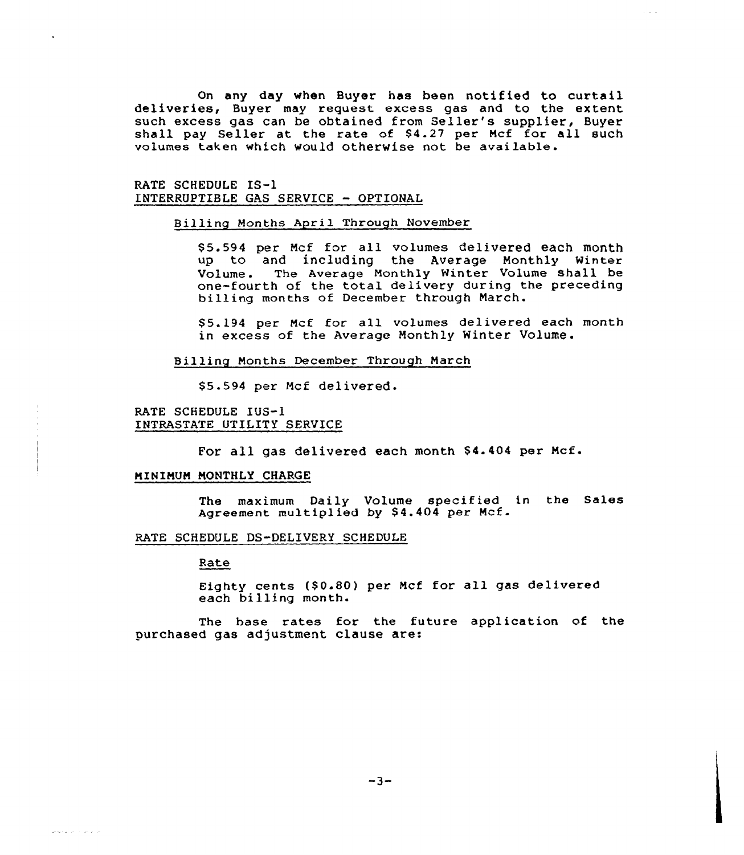On any day when Buyer has been notified to curtail deliveries, Buyer may request excess gas and to the extent such excess gas can be obtained from Seller's supplier, Buyer shall pay Seller at the rate of S4.27 per Ncf for all such volumes taken which would otherwise not be available.

RATE SCHEDULE IS-1 1'NTERRUPTIBLE GAS SERVICE — OPTIONAL

## Billing Months April Through November

\$ 5.594 per Ncf for all volumes delivered each month up to and including the Average Monthly Winter Volume. The Average Nonthly Winter Volume shall be one-fourth of the total delivery during the preceding billing months of December through Narch.

\$ 5.194 per Mcf for all volumes delivered each month in excess of the Average Monthly Winter Volume.

Billing Months December Through March

\$ 5.594 per Mcf delivered.

RATE SCHEDULE IUS-1 INTRASTATE UTILITY SERVICE

For all gas delivered each month \$4.404 per Mcf.

## NINIMUN MONTHLY CHARGE

The maximum Daily Volume specified in the Sales Agreement multiplied by \$4.404 per Mcf.

## RATE SCHEDULE DS-DELIVERY SCHEDULE

Rate

ما داند از با دیگر

Eighty cents (\$0.80) per Mcf for all gas delivered each billing month.

The hase rates for the future application of the purchased gas adjustment clause are: